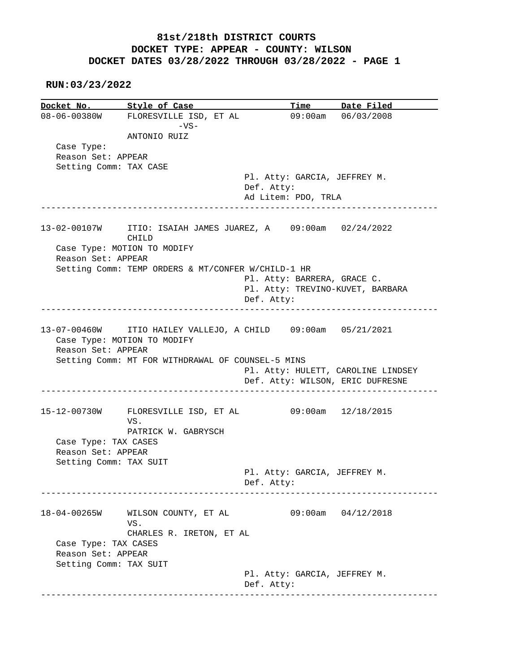#### **RUN:03/23/2022**

**Docket No. Style of Case Time Date Filed**<br>08-06-00380W FLORESVILLE ISD, ET AL 09:00am 06/03/2008 08-06-00380W FLORESVILLE ISD, ET AL  $-VS-$  ANTONIO RUIZ Case Type: Reason Set: APPEAR Setting Comm: TAX CASE Pl. Atty: GARCIA, JEFFREY M. Def. Atty: Ad Litem: PDO, TRLA ------------------------------------------------------------------------------ 13-02-00107W ITIO: ISAIAH JAMES JUAREZ, A 09:00am 02/24/2022 CHILD Case Type: MOTION TO MODIFY Reason Set: APPEAR Setting Comm: TEMP ORDERS & MT/CONFER W/CHILD-1 HR Pl. Atty: BARRERA, GRACE C. Pl. Atty: TREVINO-KUVET, BARBARA Def. Atty: ------------------------------------------------------------------------------ 13-07-00460W ITIO HAILEY VALLEJO, A CHILD 09:00am 05/21/2021 Case Type: MOTION TO MODIFY Reason Set: APPEAR Setting Comm: MT FOR WITHDRAWAL OF COUNSEL-5 MINS Pl. Atty: HULETT, CAROLINE LINDSEY Def. Atty: WILSON, ERIC DUFRESNE ------------------------------------------------------------------------------ 15-12-00730W FLORESVILLE ISD, ET AL 09:00am 12/18/2015 VS. PATRICK W. GABRYSCH Case Type: TAX CASES Reason Set: APPEAR Setting Comm: TAX SUIT Pl. Atty: GARCIA, JEFFREY M. Def. Atty: ------------------------------------------------------------------------------ 18-04-00265W WILSON COUNTY, ET AL 09:00am 04/12/2018 VS. CHARLES R. IRETON, ET AL Case Type: TAX CASES Reason Set: APPEAR Setting Comm: TAX SUIT Pl. Atty: GARCIA, JEFFREY M. Def. Atty: ------------------------------------------------------------------------------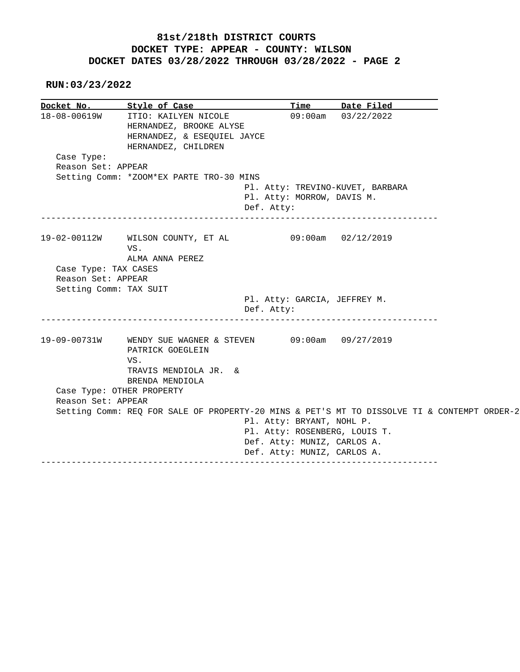**RUN:03/23/2022**

| Docket No.             | Style of Case                                                                                         | Time                         | Date Filed                       |  |
|------------------------|-------------------------------------------------------------------------------------------------------|------------------------------|----------------------------------|--|
| 18-08-00619W           | ITIO: KAILYEN NICOLE<br>HERNANDEZ, BROOKE ALYSE<br>HERNANDEZ, & ESEQUIEL JAYCE<br>HERNANDEZ, CHILDREN | 09:00am                      | 03/22/2022                       |  |
| Case Type:             |                                                                                                       |                              |                                  |  |
| Reason Set: APPEAR     |                                                                                                       |                              |                                  |  |
|                        | Setting Comm: * ZOOM*EX PARTE TRO-30 MINS                                                             |                              |                                  |  |
|                        |                                                                                                       |                              | Pl. Atty: TREVINO-KUVET, BARBARA |  |
|                        |                                                                                                       | Pl. Atty: MORROW, DAVIS M.   |                                  |  |
|                        | Def. Atty:                                                                                            |                              |                                  |  |
|                        | 19-02-00112W WILSON COUNTY, ET AL 09:00am 02/12/2019                                                  |                              |                                  |  |
|                        | VS.                                                                                                   |                              |                                  |  |
|                        | ALMA ANNA PEREZ                                                                                       |                              |                                  |  |
| Case Type: TAX CASES   |                                                                                                       |                              |                                  |  |
| Reason Set: APPEAR     |                                                                                                       |                              |                                  |  |
| Setting Comm: TAX SUIT |                                                                                                       |                              |                                  |  |
|                        |                                                                                                       | Pl. Atty: GARCIA, JEFFREY M. |                                  |  |
|                        | Def. Atty:                                                                                            |                              |                                  |  |
|                        | 19-09-00731W WENDY SUE WAGNER & STEVEN 09:00am 09/27/2019<br>PATRICK GOEGLEIN                         |                              |                                  |  |
|                        | VS.                                                                                                   |                              |                                  |  |
|                        | TRAVIS MENDIOLA JR. &                                                                                 |                              |                                  |  |
|                        | BRENDA MENDIOLA                                                                                       |                              |                                  |  |
|                        | Case Type: OTHER PROPERTY                                                                             |                              |                                  |  |
| Reason Set: APPEAR     |                                                                                                       |                              |                                  |  |
|                        | Setting Comm: REQ FOR SALE OF PROPERTY-20 MINS & PET'S MT TO DISSOLVE TI & CONTEMPT ORDER-2           | Pl. Atty: BRYANT, NOHL P.    |                                  |  |
|                        |                                                                                                       |                              | Pl. Atty: ROSENBERG, LOUIS T.    |  |
|                        |                                                                                                       | Def. Atty: MUNIZ, CARLOS A.  |                                  |  |
|                        |                                                                                                       |                              |                                  |  |
|                        |                                                                                                       | Def. Atty: MUNIZ, CARLOS A.  |                                  |  |
|                        |                                                                                                       |                              |                                  |  |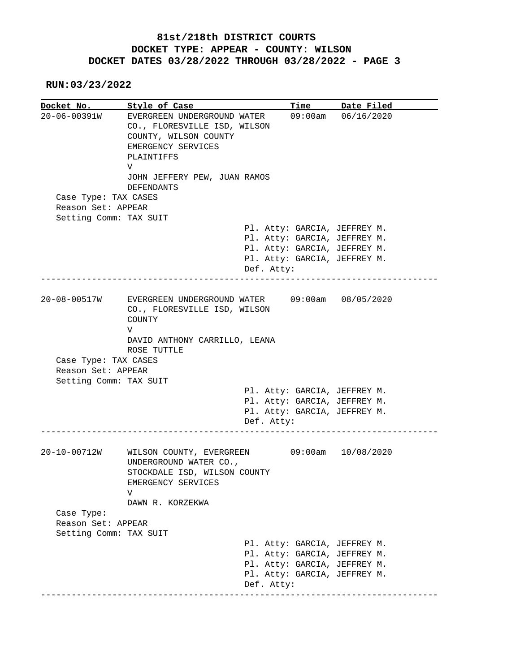**RUN:03/23/2022**

| Docket No.                                 | Style of Case                                                                                                                     |            | Time       | Date Filed                                                   |
|--------------------------------------------|-----------------------------------------------------------------------------------------------------------------------------------|------------|------------|--------------------------------------------------------------|
| $20 - 06 - 00391W$                         | EVERGREEN UNDERGROUND WATER<br>CO., FLORESVILLE ISD, WILSON<br>COUNTY, WILSON COUNTY<br>EMERGENCY SERVICES<br>PLAINTIFFS<br>V     |            | $09:00$ am | 06/16/2020                                                   |
|                                            | JOHN JEFFERY PEW, JUAN RAMOS                                                                                                      |            |            |                                                              |
|                                            | <b>DEFENDANTS</b>                                                                                                                 |            |            |                                                              |
| Case Type: TAX CASES<br>Reason Set: APPEAR |                                                                                                                                   |            |            |                                                              |
| Setting Comm: TAX SUIT                     |                                                                                                                                   |            |            |                                                              |
|                                            |                                                                                                                                   |            |            | Pl. Atty: GARCIA, JEFFREY M.                                 |
|                                            |                                                                                                                                   |            |            | Pl. Atty: GARCIA, JEFFREY M.                                 |
|                                            |                                                                                                                                   |            |            | Pl. Atty: GARCIA, JEFFREY M.                                 |
|                                            |                                                                                                                                   |            |            | Pl. Atty: GARCIA, JEFFREY M.                                 |
|                                            |                                                                                                                                   | Def. Atty: |            | ____________________________                                 |
| 20-08-00517W                               | EVERGREEN UNDERGROUND WATER<br>CO., FLORESVILLE ISD, WILSON<br>COUNTY                                                             |            |            | 09:00am 08/05/2020                                           |
|                                            | $\mathbf {V}$                                                                                                                     |            |            |                                                              |
|                                            | DAVID ANTHONY CARRILLO, LEANA<br>ROSE TUTTLE                                                                                      |            |            |                                                              |
| Case Type: TAX CASES                       |                                                                                                                                   |            |            |                                                              |
| Reason Set: APPEAR                         |                                                                                                                                   |            |            |                                                              |
| Setting Comm: TAX SUIT                     |                                                                                                                                   |            |            |                                                              |
|                                            |                                                                                                                                   |            |            | Pl. Atty: GARCIA, JEFFREY M.                                 |
|                                            |                                                                                                                                   |            |            | Pl. Atty: GARCIA, JEFFREY M.<br>Pl. Atty: GARCIA, JEFFREY M. |
|                                            |                                                                                                                                   | Def. Atty: |            |                                                              |
|                                            |                                                                                                                                   |            |            |                                                              |
| 20-10-00712W                               | WILSON COUNTY, EVERGREEN<br>UNDERGROUND WATER CO.,<br>STOCKDALE ISD, WILSON COUNTY<br>EMERGENCY SERVICES<br>V<br>DAWN R. KORZEKWA |            |            | 09:00am 10/08/2020                                           |
| Case Type:                                 |                                                                                                                                   |            |            |                                                              |
| Reason Set: APPEAR                         |                                                                                                                                   |            |            |                                                              |
| Setting Comm: TAX SUIT                     |                                                                                                                                   |            |            |                                                              |
|                                            |                                                                                                                                   |            |            | Pl. Atty: GARCIA, JEFFREY M.                                 |
|                                            |                                                                                                                                   |            |            |                                                              |
|                                            |                                                                                                                                   |            |            | Pl. Atty: GARCIA, JEFFREY M.                                 |
|                                            |                                                                                                                                   |            |            | Pl. Atty: GARCIA, JEFFREY M.                                 |
|                                            |                                                                                                                                   |            |            | Pl. Atty: GARCIA, JEFFREY M.                                 |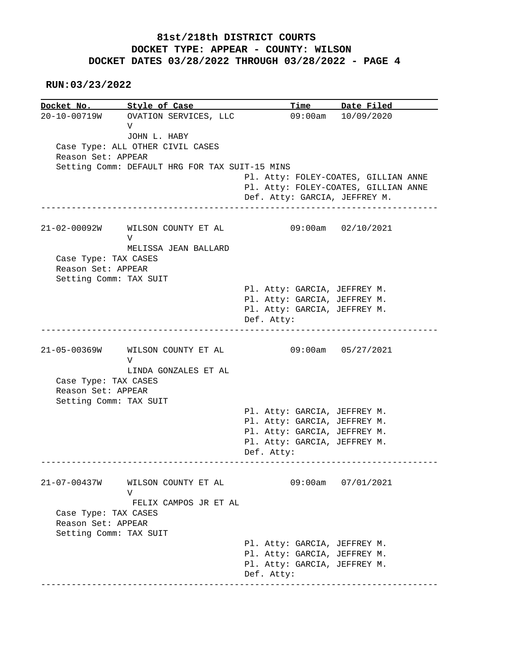**RUN:03/23/2022**

Docket No. Style of Case Docket No. Style of Case Time Date Filed<br>20-10-00719W OVATION SERVICES, LLC 09:00am 10/09/2020 V JOHN L. HABY Case Type: ALL OTHER CIVIL CASES Reason Set: APPEAR Setting Comm: DEFAULT HRG FOR TAX SUIT-15 MINS Pl. Atty: FOLEY-COATES, GILLIAN ANNE Pl. Atty: FOLEY-COATES, GILLIAN ANNE Def. Atty: GARCIA, JEFFREY M. ------------------------------------------------------------------------------ 21-02-00092W WILSON COUNTY ET AL 09:00am 02/10/2021 V MELISSA JEAN BALLARD Case Type: TAX CASES Reason Set: APPEAR Setting Comm: TAX SUIT Pl. Atty: GARCIA, JEFFREY M. Pl. Atty: GARCIA, JEFFREY M. Pl. Atty: GARCIA, JEFFREY M. Def. Atty: ------------------------------------------------------------------------------ 21-05-00369W WILSON COUNTY ET AL 09:00am 05/27/2021 V LINDA GONZALES ET AL Case Type: TAX CASES Reason Set: APPEAR Setting Comm: TAX SUIT Pl. Atty: GARCIA, JEFFREY M. Pl. Atty: GARCIA, JEFFREY M. Pl. Atty: GARCIA, JEFFREY M. Pl. Atty: GARCIA, JEFFREY M. Def. Atty: ------------------------------------------------------------------------------ 21-07-00437W WILSON COUNTY ET AL 09:00am 07/01/2021 V FELIX CAMPOS JR ET AL Case Type: TAX CASES Reason Set: APPEAR Setting Comm: TAX SUIT Pl. Atty: GARCIA, JEFFREY M. Pl. Atty: GARCIA, JEFFREY M. Pl. Atty: GARCIA, JEFFREY M. Def. Atty: ------------------------------------------------------------------------------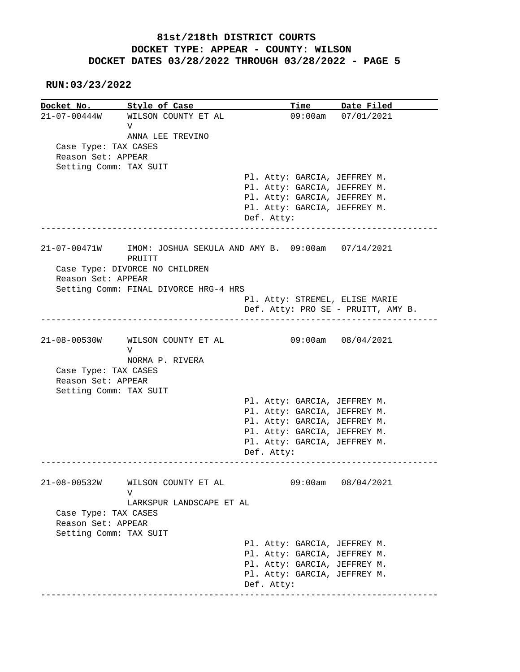**RUN:03/23/2022**

|                        | Docket No. Style of Case              | Time Date Filed                                   |
|------------------------|---------------------------------------|---------------------------------------------------|
|                        | 21-07-00444W WILSON COUNTY ET AL      | 09:00am 07/01/2021                                |
|                        | V                                     |                                                   |
|                        | ANNA LEE TREVINO                      |                                                   |
| Case Type: TAX CASES   |                                       |                                                   |
| Reason Set: APPEAR     |                                       |                                                   |
| Setting Comm: TAX SUIT |                                       |                                                   |
|                        |                                       | Pl. Atty: GARCIA, JEFFREY M.                      |
|                        |                                       | Pl. Atty: GARCIA, JEFFREY M.                      |
|                        |                                       | Pl. Atty: GARCIA, JEFFREY M.                      |
|                        |                                       | Pl. Atty: GARCIA, JEFFREY M.                      |
|                        |                                       | Def. Atty:                                        |
|                        |                                       |                                                   |
| 21-07-00471W           |                                       | IMOM: JOSHUA SEKULA AND AMY B. 09:00am 07/14/2021 |
|                        | PRUITT                                |                                                   |
|                        | Case Type: DIVORCE NO CHILDREN        |                                                   |
| Reason Set: APPEAR     |                                       |                                                   |
|                        | Setting Comm: FINAL DIVORCE HRG-4 HRS |                                                   |
|                        |                                       | Pl. Atty: STREMEL, ELISE MARIE                    |
|                        |                                       | Def. Atty: PRO SE - PRUITT, AMY B.                |
|                        | 21-08-00530W WILSON COUNTY ET AL      | 09:00am 08/04/2021                                |
|                        | V                                     |                                                   |
|                        | NORMA P. RIVERA                       |                                                   |
| Case Type: TAX CASES   |                                       |                                                   |
| Reason Set: APPEAR     |                                       |                                                   |
| Setting Comm: TAX SUIT |                                       |                                                   |
|                        |                                       | Pl. Atty: GARCIA, JEFFREY M.                      |
|                        |                                       | Pl. Atty: GARCIA, JEFFREY M.                      |
|                        |                                       | Pl. Atty: GARCIA, JEFFREY M.                      |
|                        |                                       | Pl. Atty: GARCIA, JEFFREY M.                      |
|                        |                                       | Pl. Atty: GARCIA, JEFFREY M.                      |
|                        |                                       | Def. Atty:                                        |
|                        |                                       |                                                   |
| $21 - 08 - 00532W$     | WILSON COUNTY ET AL<br>V              | 09:00am<br>08/04/2021                             |
|                        | LARKSPUR LANDSCAPE ET AL              |                                                   |
| Case Type: TAX CASES   |                                       |                                                   |
| Reason Set: APPEAR     |                                       |                                                   |
| Setting Comm: TAX SUIT |                                       |                                                   |
|                        |                                       | Pl. Atty: GARCIA, JEFFREY M.                      |
|                        |                                       |                                                   |
|                        |                                       | Pl. Atty: GARCIA, JEFFREY M.                      |
|                        |                                       | Pl. Atty: GARCIA, JEFFREY M.                      |
|                        |                                       | Pl. Atty: GARCIA, JEFFREY M.                      |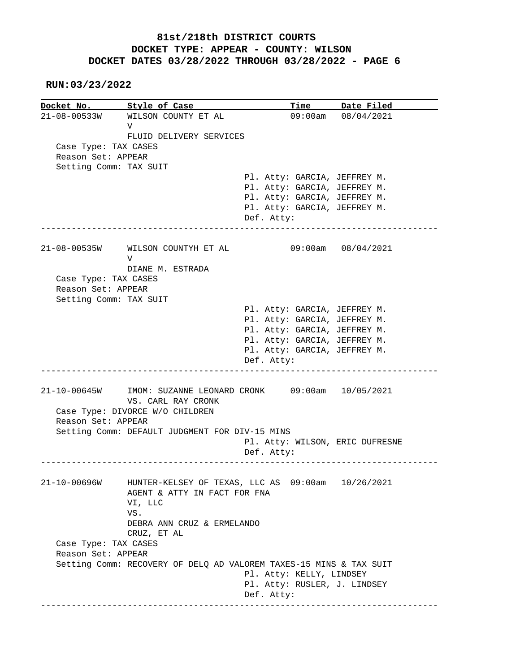**RUN:03/23/2022**

**Docket No.** Style of Case Time Date Filed 21-08-00533W WILSON COUNTY ET AL 09:00am 08/04/2021 V FLUID DELIVERY SERVICES Case Type: TAX CASES Reason Set: APPEAR Setting Comm: TAX SUIT Pl. Atty: GARCIA, JEFFREY M. Pl. Atty: GARCIA, JEFFREY M. Pl. Atty: GARCIA, JEFFREY M. Pl. Atty: GARCIA, JEFFREY M. Def. Atty: ------------------------------------------------------------------------------ 21-08-00535W WILSON COUNTYH ET AL 09:00am 08/04/2021 V DIANE M. ESTRADA Case Type: TAX CASES Reason Set: APPEAR Setting Comm: TAX SUIT Pl. Atty: GARCIA, JEFFREY M. Pl. Atty: GARCIA, JEFFREY M. Pl. Atty: GARCIA, JEFFREY M. Pl. Atty: GARCIA, JEFFREY M. Pl. Atty: GARCIA, JEFFREY M. Def. Atty: ------------------------------------------------------------------------------ 21-10-00645W IMOM: SUZANNE LEONARD CRONK 09:00am 10/05/2021 VS. CARL RAY CRONK Case Type: DIVORCE W/O CHILDREN Reason Set: APPEAR Setting Comm: DEFAULT JUDGMENT FOR DIV-15 MINS Pl. Atty: WILSON, ERIC DUFRESNE Def. Atty: ------------------------------------------------------------------------------ 21-10-00696W HUNTER-KELSEY OF TEXAS, LLC AS 09:00am 10/26/2021 AGENT & ATTY IN FACT FOR FNA VI, LLC VS. DEBRA ANN CRUZ & ERMELANDO CRUZ, ET AL Case Type: TAX CASES Reason Set: APPEAR Setting Comm: RECOVERY OF DELQ AD VALOREM TAXES-15 MINS & TAX SUIT Pl. Atty: KELLY, LINDSEY Pl. Atty: RUSLER, J. LINDSEY Def. Atty: ------------------------------------------------------------------------------